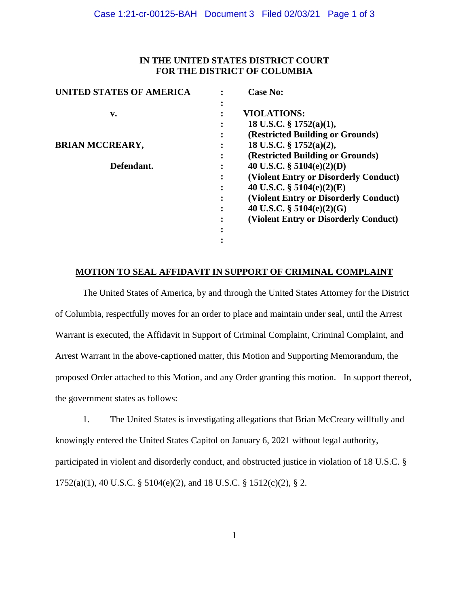## **IN THE UNITED STATES DISTRICT COURT FOR THE DISTRICT OF COLUMBIA**

| <b>UNITED STATES OF AMERICA</b> | <b>Case No:</b>                                        |
|---------------------------------|--------------------------------------------------------|
| v.                              | <b>VIOLATIONS:</b>                                     |
|                                 | 18 U.S.C. $\S$ 1752(a)(1),<br>٠                        |
|                                 | (Restricted Building or Grounds)<br>٠                  |
| <b>BRIAN MCCREARY,</b>          | 18 U.S.C. § 1752(a)(2),<br>٠                           |
|                                 | (Restricted Building or Grounds)<br>٠                  |
| Defendant.                      | 40 U.S.C. § $5104(e)(2)(D)$<br>٠                       |
|                                 | (Violent Entry or Disorderly Conduct)                  |
|                                 | 40 U.S.C. $\S$ 5104(e)(2)(E)<br>$\bullet$              |
|                                 | (Violent Entry or Disorderly Conduct)<br>$\bullet$     |
|                                 | 40 U.S.C. $\S$ 5104(e)(2)(G)<br>$\bullet$<br>$\bullet$ |
|                                 | (Violent Entry or Disorderly Conduct)                  |
|                                 |                                                        |
|                                 |                                                        |
|                                 |                                                        |

### **MOTION TO SEAL AFFIDAVIT IN SUPPORT OF CRIMINAL COMPLAINT**

The United States of America, by and through the United States Attorney for the District of Columbia, respectfully moves for an order to place and maintain under seal, until the Arrest Warrant is executed, the Affidavit in Support of Criminal Complaint, Criminal Complaint, and Arrest Warrant in the above-captioned matter, this Motion and Supporting Memorandum, the proposed Order attached to this Motion, and any Order granting this motion. In support thereof, the government states as follows:

1. The United States is investigating allegations that Brian McCreary willfully and knowingly entered the United States Capitol on January 6, 2021 without legal authority, participated in violent and disorderly conduct, and obstructed justice in violation of 18 U.S.C. § 1752(a)(1), 40 U.S.C. § 5104(e)(2), and 18 U.S.C. § 1512(c)(2), § 2.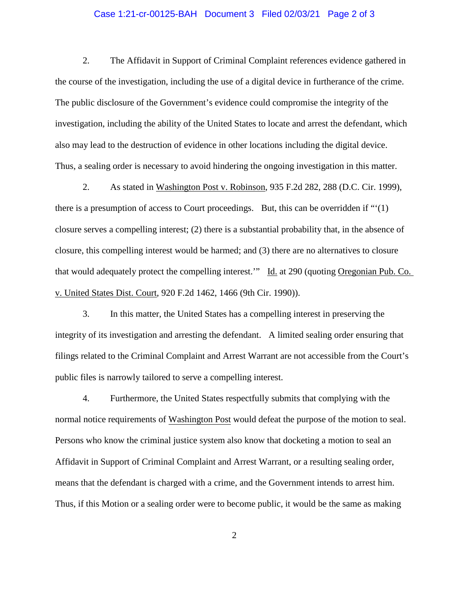#### Case 1:21-cr-00125-BAH Document 3 Filed 02/03/21 Page 2 of 3

2. The Affidavit in Support of Criminal Complaint references evidence gathered in the course of the investigation, including the use of a digital device in furtherance of the crime. The public disclosure of the Government's evidence could compromise the integrity of the investigation, including the ability of the United States to locate and arrest the defendant, which also may lead to the destruction of evidence in other locations including the digital device. Thus, a sealing order is necessary to avoid hindering the ongoing investigation in this matter.

2. As stated in Washington Post v. Robinson, 935 F.2d 282, 288 (D.C. Cir. 1999), there is a presumption of access to Court proceedings. But, this can be overridden if "'(1) closure serves a compelling interest; (2) there is a substantial probability that, in the absence of closure, this compelling interest would be harmed; and (3) there are no alternatives to closure that would adequately protect the compelling interest.'" Id. at 290 (quoting Oregonian Pub. Co. v. United States Dist. Court, 920 F.2d 1462, 1466 (9th Cir. 1990)).

3. In this matter, the United States has a compelling interest in preserving the integrity of its investigation and arresting the defendant. A limited sealing order ensuring that filings related to the Criminal Complaint and Arrest Warrant are not accessible from the Court's public files is narrowly tailored to serve a compelling interest.

4. Furthermore, the United States respectfully submits that complying with the normal notice requirements of Washington Post would defeat the purpose of the motion to seal. Persons who know the criminal justice system also know that docketing a motion to seal an Affidavit in Support of Criminal Complaint and Arrest Warrant, or a resulting sealing order, means that the defendant is charged with a crime, and the Government intends to arrest him. Thus, if this Motion or a sealing order were to become public, it would be the same as making

2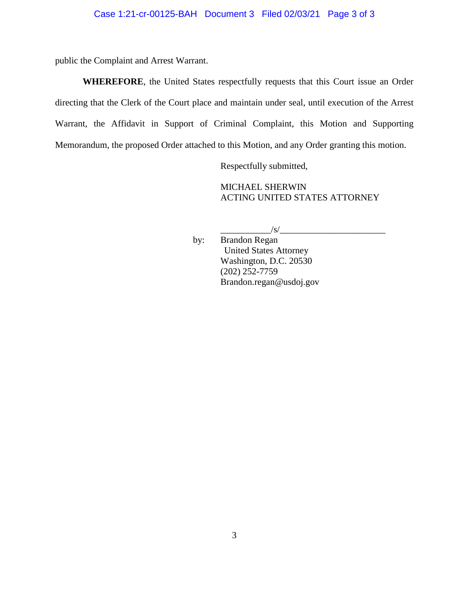public the Complaint and Arrest Warrant.

**WHEREFORE**, the United States respectfully requests that this Court issue an Order directing that the Clerk of the Court place and maintain under seal, until execution of the Arrest Warrant, the Affidavit in Support of Criminal Complaint, this Motion and Supporting Memorandum, the proposed Order attached to this Motion, and any Order granting this motion.

Respectfully submitted,

MICHAEL SHERWIN ACTING UNITED STATES ATTORNEY

 $\frac{1}{s}$ 

by: Brandon Regan United States Attorney Washington, D.C. 20530 (202) 252-7759 Brandon.regan@usdoj.gov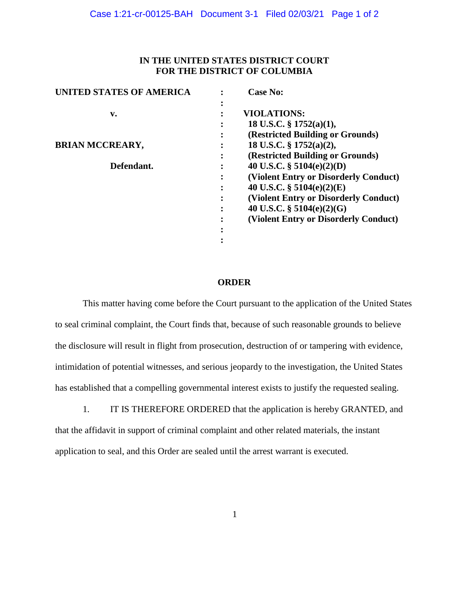## **IN THE UNITED STATES DISTRICT COURT FOR THE DISTRICT OF COLUMBIA**

| <b>UNITED STATES OF AMERICA</b> | <b>Case No:</b>                                            |
|---------------------------------|------------------------------------------------------------|
| v.                              | <b>VIOLATIONS:</b>                                         |
|                                 | 18 U.S.C. $\S$ 1752(a)(1),<br>٠                            |
|                                 | (Restricted Building or Grounds)<br>$\bullet$<br>$\bullet$ |
| <b>BRIAN MCCREARY,</b>          | 18 U.S.C. § $1752(a)(2)$ ,<br>٠                            |
|                                 | (Restricted Building or Grounds)<br>٠<br>$\bullet$         |
| Defendant.                      | 40 U.S.C. § 5104(e)(2)(D)<br>٠                             |
|                                 | (Violent Entry or Disorderly Conduct)<br>٠<br>$\bullet$    |
|                                 | 40 U.S.C. $\S$ 5104(e)(2)(E)<br>٠<br>$\bullet$             |
|                                 | (Violent Entry or Disorderly Conduct)<br>٠<br>$\bullet$    |
|                                 | 40 U.S.C. $\S$ 5104(e)(2)(G)<br>٠<br>$\bullet$             |
|                                 | (Violent Entry or Disorderly Conduct)<br>٠                 |
|                                 |                                                            |
|                                 |                                                            |
|                                 |                                                            |

#### **ORDER**

This matter having come before the Court pursuant to the application of the United States to seal criminal complaint, the Court finds that, because of such reasonable grounds to believe the disclosure will result in flight from prosecution, destruction of or tampering with evidence, intimidation of potential witnesses, and serious jeopardy to the investigation, the United States has established that a compelling governmental interest exists to justify the requested sealing.

1. IT IS THEREFORE ORDERED that the application is hereby GRANTED, and that the affidavit in support of criminal complaint and other related materials, the instant application to seal, and this Order are sealed until the arrest warrant is executed.